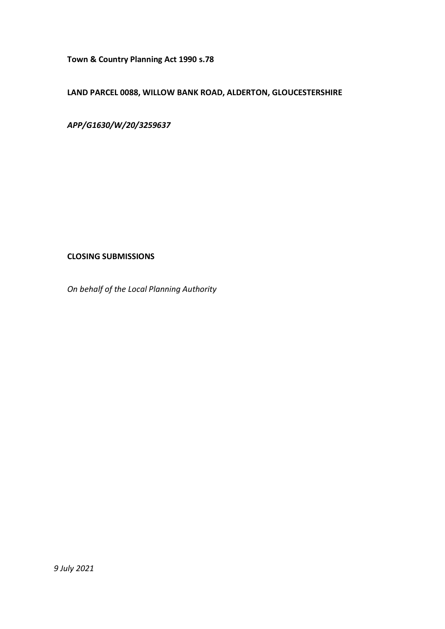**Town & Country Planning Act 1990 s.78**

# **LAND PARCEL 0088, WILLOW BANK ROAD, ALDERTON, GLOUCESTERSHIRE**

*APP/G1630/W/20/3259637*

## **CLOSING SUBMISSIONS**

*On behalf of the Local Planning Authority*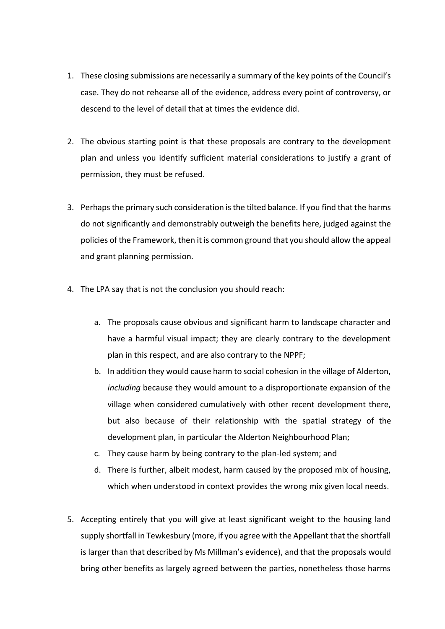- 1. These closing submissions are necessarily a summary of the key points of the Council's case. They do not rehearse all of the evidence, address every point of controversy, or descend to the level of detail that at times the evidence did.
- 2. The obvious starting point is that these proposals are contrary to the development plan and unless you identify sufficient material considerations to justify a grant of permission, they must be refused.
- 3. Perhaps the primary such consideration is the tilted balance. If you find that the harms do not significantly and demonstrably outweigh the benefits here, judged against the policies of the Framework, then it is common ground that you should allow the appeal and grant planning permission.
- 4. The LPA say that is not the conclusion you should reach:
	- a. The proposals cause obvious and significant harm to landscape character and have a harmful visual impact; they are clearly contrary to the development plan in this respect, and are also contrary to the NPPF;
	- b. In addition they would cause harm to social cohesion in the village of Alderton, *including* because they would amount to a disproportionate expansion of the village when considered cumulatively with other recent development there, but also because of their relationship with the spatial strategy of the development plan, in particular the Alderton Neighbourhood Plan;
	- c. They cause harm by being contrary to the plan-led system; and
	- d. There is further, albeit modest, harm caused by the proposed mix of housing, which when understood in context provides the wrong mix given local needs.
- 5. Accepting entirely that you will give at least significant weight to the housing land supply shortfall in Tewkesbury (more, if you agree with the Appellant that the shortfall is larger than that described by Ms Millman's evidence), and that the proposals would bring other benefits as largely agreed between the parties, nonetheless those harms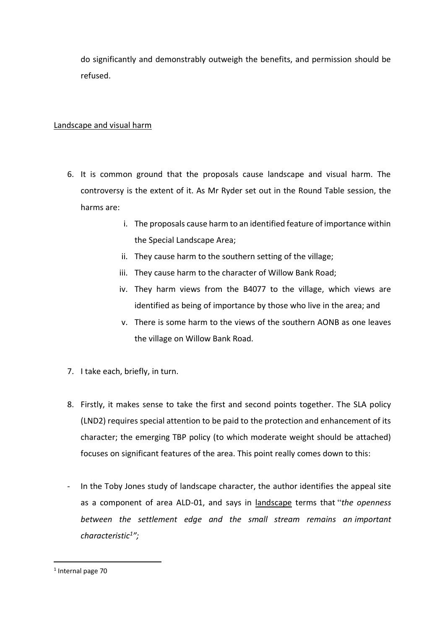do significantly and demonstrably outweigh the benefits, and permission should be refused.

### Landscape and visual harm

- 6. It is common ground that the proposals cause landscape and visual harm. The controversy is the extent of it. As Mr Ryder set out in the Round Table session, the harms are:
	- i. The proposals cause harm to an identified feature of importance within the Special Landscape Area;
	- ii. They cause harm to the southern setting of the village;
	- iii. They cause harm to the character of Willow Bank Road;
	- iv. They harm views from the B4077 to the village, which views are identified as being of importance by those who live in the area; and
	- v. There is some harm to the views of the southern AONB as one leaves the village on Willow Bank Road.
- 7. I take each, briefly, in turn.
- 8. Firstly, it makes sense to take the first and second points together. The SLA policy (LND2) requires special attention to be paid to the protection and enhancement of its character; the emerging TBP policy (to which moderate weight should be attached) focuses on significant features of the area. This point really comes down to this:
- In the Toby Jones study of landscape character, the author identifies the appeal site as a component of area ALD-01, and says in landscape terms that "*the openness between the settlement edge and the small stream remains an important characteristic<sup>1</sup> ";*

<sup>1</sup> Internal page 70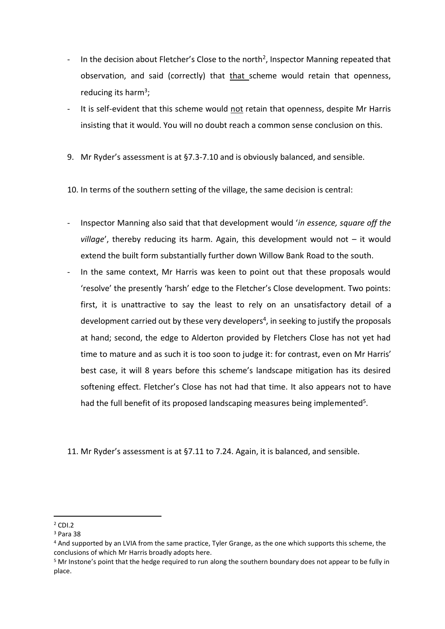- In the decision about Fletcher's Close to the north<sup>2</sup>, Inspector Manning repeated that observation, and said (correctly) that that scheme would retain that openness, reducing its harm<sup>3</sup>;
- It is self-evident that this scheme would not retain that openness, despite Mr Harris insisting that it would. You will no doubt reach a common sense conclusion on this.
- 9. Mr Ryder's assessment is at §7.3-7.10 and is obviously balanced, and sensible.
- 10. In terms of the southern setting of the village, the same decision is central:
- Inspector Manning also said that that development would '*in essence, square off the village*', thereby reducing its harm. Again, this development would not – it would extend the built form substantially further down Willow Bank Road to the south.
- In the same context, Mr Harris was keen to point out that these proposals would 'resolve' the presently 'harsh' edge to the Fletcher's Close development. Two points: first, it is unattractive to say the least to rely on an unsatisfactory detail of a development carried out by these very developers<sup>4</sup>, in seeking to justify the proposals at hand; second, the edge to Alderton provided by Fletchers Close has not yet had time to mature and as such it is too soon to judge it: for contrast, even on Mr Harris' best case, it will 8 years before this scheme's landscape mitigation has its desired softening effect. Fletcher's Close has not had that time. It also appears not to have had the full benefit of its proposed landscaping measures being implemented<sup>5</sup>.

11. Mr Ryder's assessment is at §7.11 to 7.24. Again, it is balanced, and sensible.

 $2$  CDI.2

<sup>3</sup> Para 38

<sup>4</sup> And supported by an LVIA from the same practice, Tyler Grange, as the one which supports this scheme, the conclusions of which Mr Harris broadly adopts here.

<sup>5</sup> Mr Instone's point that the hedge required to run along the southern boundary does not appear to be fully in place.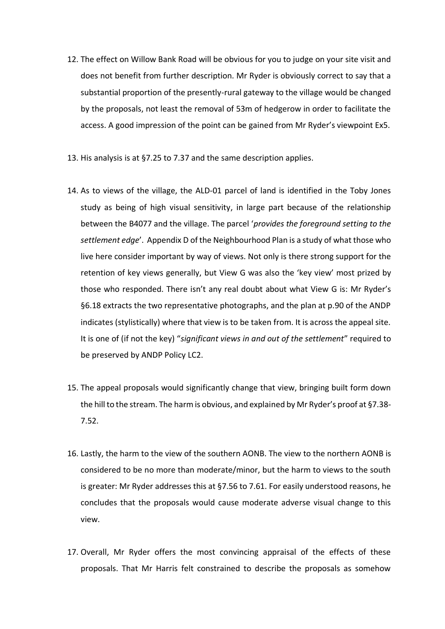- 12. The effect on Willow Bank Road will be obvious for you to judge on your site visit and does not benefit from further description. Mr Ryder is obviously correct to say that a substantial proportion of the presently-rural gateway to the village would be changed by the proposals, not least the removal of 53m of hedgerow in order to facilitate the access. A good impression of the point can be gained from Mr Ryder's viewpoint Ex5.
- 13. His analysis is at §7.25 to 7.37 and the same description applies.
- 14. As to views of the village, the ALD-01 parcel of land is identified in the Toby Jones study as being of high visual sensitivity, in large part because of the relationship between the B4077 and the village. The parcel '*provides the foreground setting to the settlement edge*'. Appendix D of the Neighbourhood Plan is a study of what those who live here consider important by way of views. Not only is there strong support for the retention of key views generally, but View G was also the 'key view' most prized by those who responded. There isn't any real doubt about what View G is: Mr Ryder's §6.18 extracts the two representative photographs, and the plan at p.90 of the ANDP indicates (stylistically) where that view is to be taken from. It is across the appeal site. It is one of (if not the key) "*significant views in and out of the settlement*" required to be preserved by ANDP Policy LC2.
- 15. The appeal proposals would significantly change that view, bringing built form down the hill to the stream. The harm is obvious, and explained by Mr Ryder's proof at §7.38- 7.52.
- 16. Lastly, the harm to the view of the southern AONB. The view to the northern AONB is considered to be no more than moderate/minor, but the harm to views to the south is greater: Mr Ryder addresses this at §7.56 to 7.61. For easily understood reasons, he concludes that the proposals would cause moderate adverse visual change to this view.
- 17. Overall, Mr Ryder offers the most convincing appraisal of the effects of these proposals. That Mr Harris felt constrained to describe the proposals as somehow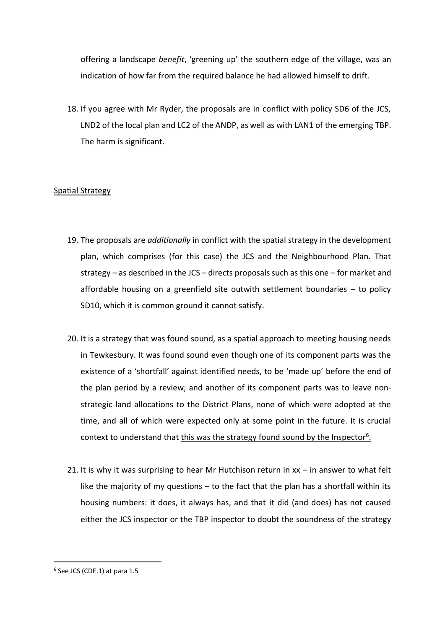offering a landscape *benefit*, 'greening up' the southern edge of the village, was an indication of how far from the required balance he had allowed himself to drift.

18. If you agree with Mr Ryder, the proposals are in conflict with policy SD6 of the JCS, LND2 of the local plan and LC2 of the ANDP, as well as with LAN1 of the emerging TBP. The harm is significant.

### Spatial Strategy

- 19. The proposals are *additionally* in conflict with the spatial strategy in the development plan, which comprises (for this case) the JCS and the Neighbourhood Plan. That strategy – as described in the JCS – directs proposals such as this one – for market and affordable housing on a greenfield site outwith settlement boundaries – to policy SD10, which it is common ground it cannot satisfy.
- 20. It is a strategy that was found sound, as a spatial approach to meeting housing needs in Tewkesbury. It was found sound even though one of its component parts was the existence of a 'shortfall' against identified needs, to be 'made up' before the end of the plan period by a review; and another of its component parts was to leave nonstrategic land allocations to the District Plans, none of which were adopted at the time, and all of which were expected only at some point in the future. It is crucial context to understand that this was the strategy found sound by the Inspector<sup>6</sup>.
- 21. It is why it was surprising to hear Mr Hutchison return in  $xx in$  answer to what felt like the majority of my questions – to the fact that the plan has a shortfall within its housing numbers: it does, it always has, and that it did (and does) has not caused either the JCS inspector or the TBP inspector to doubt the soundness of the strategy

<sup>6</sup> See JCS (CDE.1) at para 1.5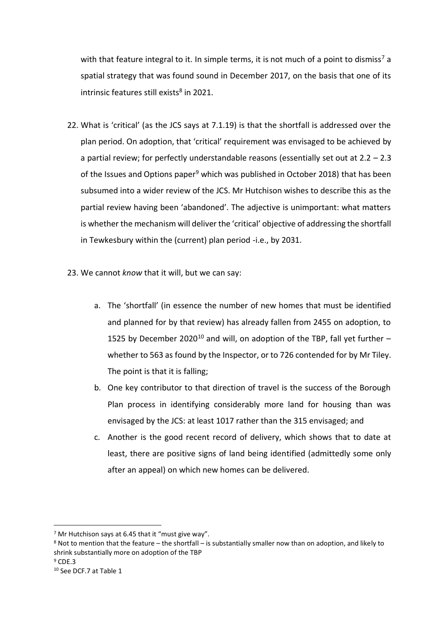with that feature integral to it. In simple terms, it is not much of a point to dismiss<sup>7</sup> a spatial strategy that was found sound in December 2017, on the basis that one of its intrinsic features still exists<sup>8</sup> in 2021.

- 22. What is 'critical' (as the JCS says at 7.1.19) is that the shortfall is addressed over the plan period. On adoption, that 'critical' requirement was envisaged to be achieved by a partial review; for perfectly understandable reasons (essentially set out at  $2.2 - 2.3$ of the Issues and Options paper<sup>9</sup> which was published in October 2018) that has been subsumed into a wider review of the JCS. Mr Hutchison wishes to describe this as the partial review having been 'abandoned'. The adjective is unimportant: what matters is whether the mechanism will deliver the 'critical' objective of addressing the shortfall in Tewkesbury within the (current) plan period -i.e., by 2031.
- 23. We cannot *know* that it will, but we can say:
	- a. The 'shortfall' (in essence the number of new homes that must be identified and planned for by that review) has already fallen from 2455 on adoption, to 1525 by December 2020<sup>10</sup> and will, on adoption of the TBP, fall yet further  $$ whether to 563 as found by the Inspector, or to 726 contended for by Mr Tiley. The point is that it is falling;
	- b. One key contributor to that direction of travel is the success of the Borough Plan process in identifying considerably more land for housing than was envisaged by the JCS: at least 1017 rather than the 315 envisaged; and
	- c. Another is the good recent record of delivery, which shows that to date at least, there are positive signs of land being identified (admittedly some only after an appeal) on which new homes can be delivered.

 $9$  CDE.3

 $7$  Mr Hutchison says at 6.45 that it "must give way".

<sup>8</sup> Not to mention that the feature – the shortfall – is substantially smaller now than on adoption, and likely to shrink substantially more on adoption of the TBP

<sup>10</sup> See DCF.7 at Table 1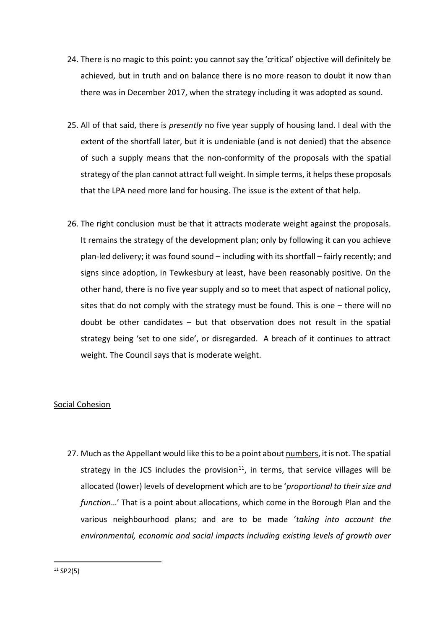- 24. There is no magic to this point: you cannot say the 'critical' objective will definitely be achieved, but in truth and on balance there is no more reason to doubt it now than there was in December 2017, when the strategy including it was adopted as sound.
- 25. All of that said, there is *presently* no five year supply of housing land. I deal with the extent of the shortfall later, but it is undeniable (and is not denied) that the absence of such a supply means that the non-conformity of the proposals with the spatial strategy of the plan cannot attract full weight. In simple terms, it helps these proposals that the LPA need more land for housing. The issue is the extent of that help.
- 26. The right conclusion must be that it attracts moderate weight against the proposals. It remains the strategy of the development plan; only by following it can you achieve plan-led delivery; it was found sound – including with its shortfall – fairly recently; and signs since adoption, in Tewkesbury at least, have been reasonably positive. On the other hand, there is no five year supply and so to meet that aspect of national policy, sites that do not comply with the strategy must be found. This is one – there will no doubt be other candidates – but that observation does not result in the spatial strategy being 'set to one side', or disregarded. A breach of it continues to attract weight. The Council says that is moderate weight.

### Social Cohesion

27. Much as the Appellant would like this to be a point about numbers, it is not. The spatial strategy in the JCS includes the provision<sup>11</sup>, in terms, that service villages will be allocated (lower) levels of development which are to be '*proportional to their size and function*…' That is a point about allocations, which come in the Borough Plan and the various neighbourhood plans; and are to be made '*taking into account the environmental, economic and social impacts including existing levels of growth over*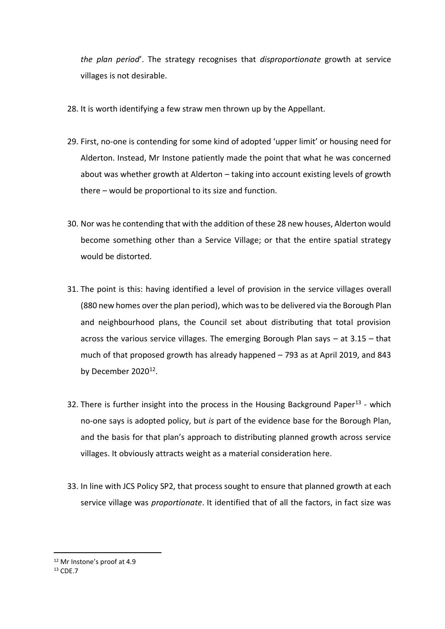*the plan period*'. The strategy recognises that *disproportionate* growth at service villages is not desirable.

- 28. It is worth identifying a few straw men thrown up by the Appellant.
- 29. First, no-one is contending for some kind of adopted 'upper limit' or housing need for Alderton. Instead, Mr Instone patiently made the point that what he was concerned about was whether growth at Alderton – taking into account existing levels of growth there – would be proportional to its size and function.
- 30. Nor was he contending that with the addition of these 28 new houses, Alderton would become something other than a Service Village; or that the entire spatial strategy would be distorted.
- 31. The point is this: having identified a level of provision in the service villages overall (880 new homes over the plan period), which was to be delivered via the Borough Plan and neighbourhood plans, the Council set about distributing that total provision across the various service villages. The emerging Borough Plan says – at 3.15 – that much of that proposed growth has already happened – 793 as at April 2019, and 843 by December 2020<sup>12</sup>.
- 32. There is further insight into the process in the Housing Background Paper<sup>13</sup> which no-one says is adopted policy, but *is* part of the evidence base for the Borough Plan, and the basis for that plan's approach to distributing planned growth across service villages. It obviously attracts weight as a material consideration here.
- 33. In line with JCS Policy SP2, that process sought to ensure that planned growth at each service village was *proportionate*. It identified that of all the factors, in fact size was

<sup>12</sup> Mr Instone's proof at 4.9

<sup>13</sup> CDE.7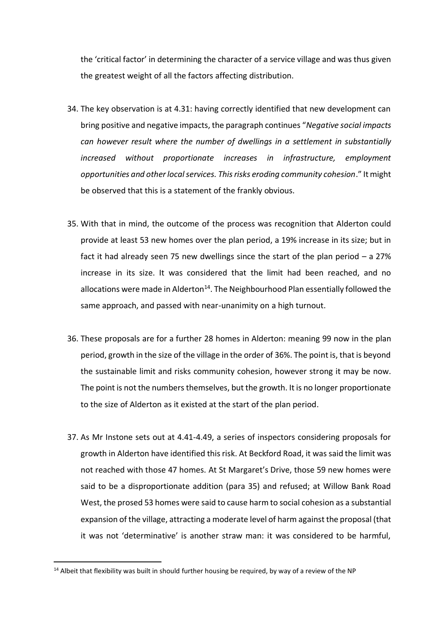the 'critical factor' in determining the character of a service village and was thus given the greatest weight of all the factors affecting distribution.

- 34. The key observation is at 4.31: having correctly identified that new development can bring positive and negative impacts, the paragraph continues "*Negative social impacts can however result where the number of dwellings in a settlement in substantially increased without proportionate increases in infrastructure, employment opportunities and other local services. This risks eroding community cohesion*." It might be observed that this is a statement of the frankly obvious.
- 35. With that in mind, the outcome of the process was recognition that Alderton could provide at least 53 new homes over the plan period, a 19% increase in its size; but in fact it had already seen 75 new dwellings since the start of the plan period – a 27% increase in its size. It was considered that the limit had been reached, and no allocations were made in Alderton<sup>14</sup>. The Neighbourhood Plan essentially followed the same approach, and passed with near-unanimity on a high turnout.
- 36. These proposals are for a further 28 homes in Alderton: meaning 99 now in the plan period, growth in the size of the village in the order of 36%. The point is, that is beyond the sustainable limit and risks community cohesion, however strong it may be now. The point is not the numbers themselves, but the growth. It is no longer proportionate to the size of Alderton as it existed at the start of the plan period.
- 37. As Mr Instone sets out at 4.41-4.49, a series of inspectors considering proposals for growth in Alderton have identified this risk. At Beckford Road, it was said the limit was not reached with those 47 homes. At St Margaret's Drive, those 59 new homes were said to be a disproportionate addition (para 35) and refused; at Willow Bank Road West, the prosed 53 homes were said to cause harm to social cohesion as a substantial expansion of the village, attracting a moderate level of harm against the proposal (that it was not 'determinative' is another straw man: it was considered to be harmful,

<sup>&</sup>lt;sup>14</sup> Albeit that flexibility was built in should further housing be required, by way of a review of the NP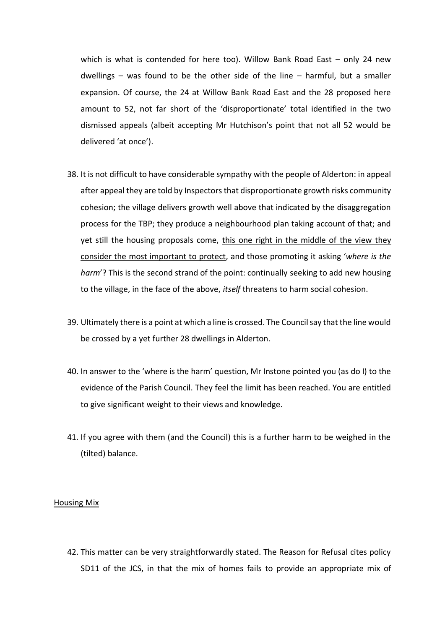which is what is contended for here too). Willow Bank Road East – only 24 new dwellings – was found to be the other side of the line – harmful, but a smaller expansion. Of course, the 24 at Willow Bank Road East and the 28 proposed here amount to 52, not far short of the 'disproportionate' total identified in the two dismissed appeals (albeit accepting Mr Hutchison's point that not all 52 would be delivered 'at once').

- 38. It is not difficult to have considerable sympathy with the people of Alderton: in appeal after appeal they are told by Inspectors that disproportionate growth risks community cohesion; the village delivers growth well above that indicated by the disaggregation process for the TBP; they produce a neighbourhood plan taking account of that; and yet still the housing proposals come, this one right in the middle of the view they consider the most important to protect, and those promoting it asking '*where is the harm*'? This is the second strand of the point: continually seeking to add new housing to the village, in the face of the above, *itself* threatens to harm social cohesion.
- 39. Ultimately there is a point at which a line is crossed. The Council say that the line would be crossed by a yet further 28 dwellings in Alderton.
- 40. In answer to the 'where is the harm' question, Mr Instone pointed you (as do I) to the evidence of the Parish Council. They feel the limit has been reached. You are entitled to give significant weight to their views and knowledge.
- 41. If you agree with them (and the Council) this is a further harm to be weighed in the (tilted) balance.

#### Housing Mix

42. This matter can be very straightforwardly stated. The Reason for Refusal cites policy SD11 of the JCS, in that the mix of homes fails to provide an appropriate mix of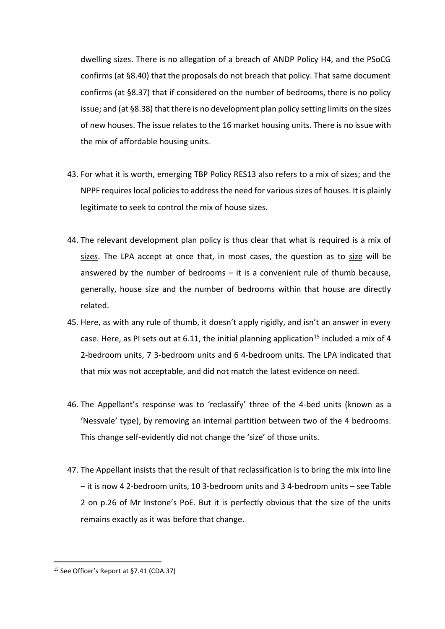dwelling sizes. There is no allegation of a breach of ANDP Policy H4, and the PSoCG confirms (at §8.40) that the proposals do not breach that policy. That same document confirms (at §8.37) that if considered on the number of bedrooms, there is no policy issue; and (at §8.38) that there is no development plan policy setting limits on the sizes of new houses. The issue relates to the 16 market housing units. There is no issue with the mix of affordable housing units.

- 43. For what it is worth, emerging TBP Policy RES13 also refers to a mix of sizes; and the NPPF requires local policies to address the need for various sizes of houses. It is plainly legitimate to seek to control the mix of house sizes.
- 44. The relevant development plan policy is thus clear that what is required is a mix of sizes. The LPA accept at once that, in most cases, the question as to size will be answered by the number of bedrooms  $-$  it is a convenient rule of thumb because, generally, house size and the number of bedrooms within that house are directly related.
- 45. Here, as with any rule of thumb, it doesn't apply rigidly, and isn't an answer in every case. Here, as PI sets out at 6.11, the initial planning application<sup>15</sup> included a mix of 4 2-bedroom units, 7 3-bedroom units and 6 4-bedroom units. The LPA indicated that that mix was not acceptable, and did not match the latest evidence on need.
- 46. The Appellant's response was to 'reclassify' three of the 4-bed units (known as a 'Nessvale' type), by removing an internal partition between two of the 4 bedrooms. This change self-evidently did not change the 'size' of those units.
- 47. The Appellant insists that the result of that reclassification is to bring the mix into line – it is now 4 2-bedroom units, 10 3-bedroom units and 3 4-bedroom units – see Table 2 on p.26 of Mr Instone's PoE. But it is perfectly obvious that the size of the units remains exactly as it was before that change.

<sup>15</sup> See Officer's Report at §7.41 (CDA.37)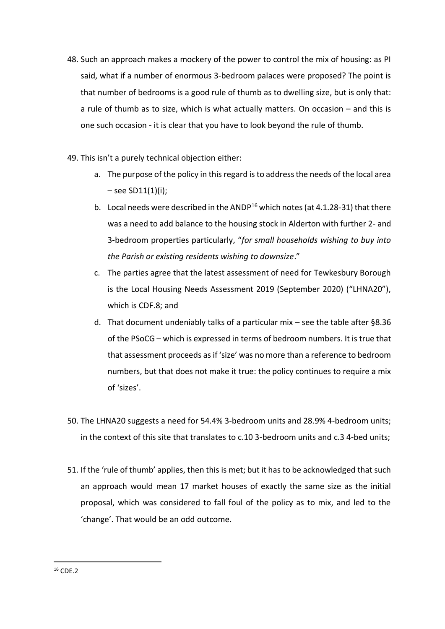- 48. Such an approach makes a mockery of the power to control the mix of housing: as PI said, what if a number of enormous 3-bedroom palaces were proposed? The point is that number of bedrooms is a good rule of thumb as to dwelling size, but is only that: a rule of thumb as to size, which is what actually matters. On occasion – and this is one such occasion - it is clear that you have to look beyond the rule of thumb.
- 49. This isn't a purely technical objection either:
	- a. The purpose of the policy in this regard is to address the needs of the local area  $-$  see SD11(1)(i);
	- b. Local needs were described in the ANDP<sup>16</sup> which notes (at 4.1.28-31) that there was a need to add balance to the housing stock in Alderton with further 2- and 3-bedroom properties particularly, "*for small households wishing to buy into the Parish or existing residents wishing to downsize*."
	- c. The parties agree that the latest assessment of need for Tewkesbury Borough is the Local Housing Needs Assessment 2019 (September 2020) ("LHNA20"), which is CDF.8; and
	- d. That document undeniably talks of a particular mix see the table after §8.36 of the PSoCG – which is expressed in terms of bedroom numbers. It is true that that assessment proceeds as if 'size' was no more than a reference to bedroom numbers, but that does not make it true: the policy continues to require a mix of 'sizes'.
- 50. The LHNA20 suggests a need for 54.4% 3-bedroom units and 28.9% 4-bedroom units; in the context of this site that translates to c.10 3-bedroom units and c.3 4-bed units;
- 51. If the 'rule of thumb' applies, then this is met; but it has to be acknowledged that such an approach would mean 17 market houses of exactly the same size as the initial proposal, which was considered to fall foul of the policy as to mix, and led to the 'change'. That would be an odd outcome.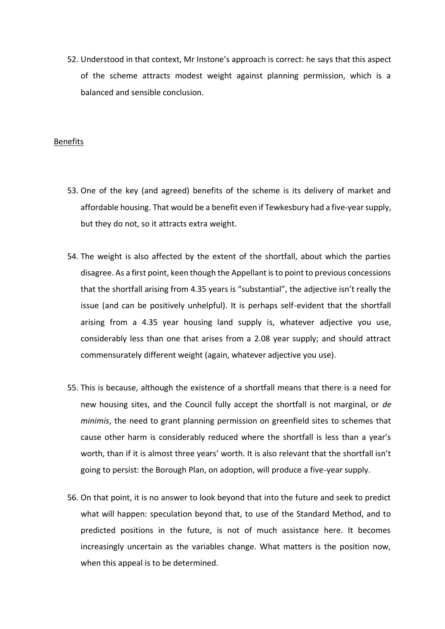52. Understood in that context, Mr Instone's approach is correct: he says that this aspect of the scheme attracts modest weight against planning permission, which is a balanced and sensible conclusion.

#### Benefits

- 53. One of the key (and agreed) benefits of the scheme is its delivery of market and affordable housing. That would be a benefit even if Tewkesbury had a five-year supply, but they do not, so it attracts extra weight.
- 54. The weight is also affected by the extent of the shortfall, about which the parties disagree. As a first point, keen though the Appellant is to point to previous concessions that the shortfall arising from 4.35 years is "substantial", the adjective isn't really the issue (and can be positively unhelpful). It is perhaps self-evident that the shortfall arising from a 4.35 year housing land supply is, whatever adjective you use, considerably less than one that arises from a 2.08 year supply; and should attract commensurately different weight (again, whatever adjective you use).
- 55. This is because, although the existence of a shortfall means that there is a need for new housing sites, and the Council fully accept the shortfall is not marginal, or *de minimis*, the need to grant planning permission on greenfield sites to schemes that cause other harm is considerably reduced where the shortfall is less than a year's worth, than if it is almost three years' worth. It is also relevant that the shortfall isn't going to persist: the Borough Plan, on adoption, will produce a five-year supply.
- 56. On that point, it is no answer to look beyond that into the future and seek to predict what will happen: speculation beyond that, to use of the Standard Method, and to predicted positions in the future, is not of much assistance here. It becomes increasingly uncertain as the variables change. What matters is the position now, when this appeal is to be determined.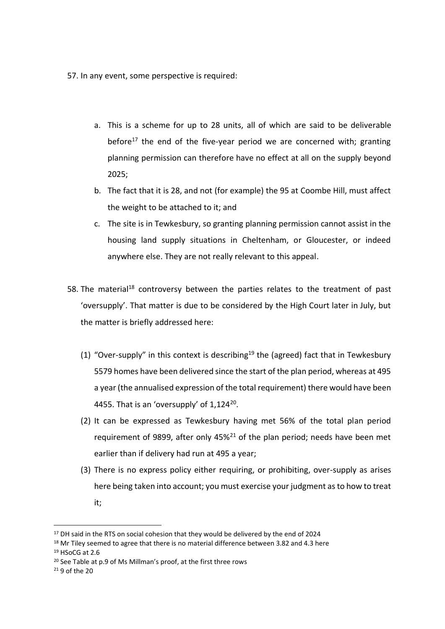57. In any event, some perspective is required:

- a. This is a scheme for up to 28 units, all of which are said to be deliverable before<sup>17</sup> the end of the five-year period we are concerned with; granting planning permission can therefore have no effect at all on the supply beyond 2025;
- b. The fact that it is 28, and not (for example) the 95 at Coombe Hill, must affect the weight to be attached to it; and
- c. The site is in Tewkesbury, so granting planning permission cannot assist in the housing land supply situations in Cheltenham, or Gloucester, or indeed anywhere else. They are not really relevant to this appeal.
- 58. The material<sup>18</sup> controversy between the parties relates to the treatment of past 'oversupply'. That matter is due to be considered by the High Court later in July, but the matter is briefly addressed here:
	- (1) "Over-supply" in this context is describing<sup>19</sup> the (agreed) fact that in Tewkesbury 5579 homes have been delivered since the start of the plan period, whereas at 495 a year (the annualised expression of the total requirement) there would have been 4455. That is an 'oversupply' of  $1,124^{20}$ .
	- (2) It can be expressed as Tewkesbury having met 56% of the total plan period requirement of 9899, after only  $45\frac{21}{1}$  of the plan period; needs have been met earlier than if delivery had run at 495 a year;
	- (3) There is no express policy either requiring, or prohibiting, over-supply as arises here being taken into account; you must exercise your judgment as to how to treat it;

<sup>&</sup>lt;sup>17</sup> DH said in the RTS on social cohesion that they would be delivered by the end of 2024

<sup>&</sup>lt;sup>18</sup> Mr Tiley seemed to agree that there is no material difference between 3.82 and 4.3 here

<sup>19</sup> HSoCG at 2.6

<sup>20</sup> See Table at p.9 of Ms Millman's proof, at the first three rows

 $21$  9 of the 20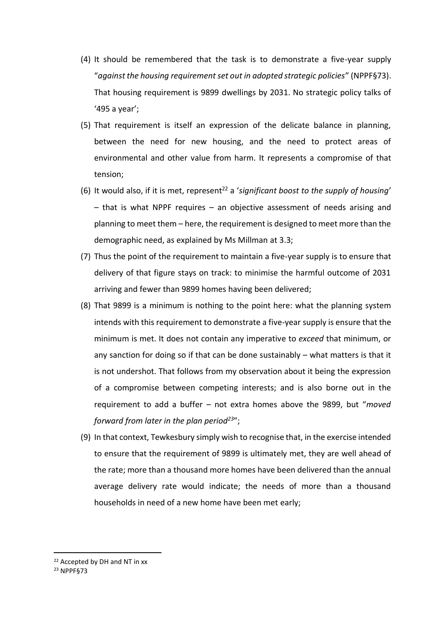- (4) It should be remembered that the task is to demonstrate a five-year supply "*against the housing requirement set out in adopted strategic policies*" (NPPF§73). That housing requirement is 9899 dwellings by 2031. No strategic policy talks of '495 a year';
- (5) That requirement is itself an expression of the delicate balance in planning, between the need for new housing, and the need to protect areas of environmental and other value from harm. It represents a compromise of that tension;
- (6) It would also, if it is met, represent<sup>22</sup> a 'significant boost to the supply of housing' – that is what NPPF requires – an objective assessment of needs arising and planning to meet them – here, the requirement is designed to meet more than the demographic need, as explained by Ms Millman at 3.3;
- (7) Thus the point of the requirement to maintain a five-year supply is to ensure that delivery of that figure stays on track: to minimise the harmful outcome of 2031 arriving and fewer than 9899 homes having been delivered;
- (8) That 9899 is a minimum is nothing to the point here: what the planning system intends with this requirement to demonstrate a five-year supply is ensure that the minimum is met. It does not contain any imperative to *exceed* that minimum, or any sanction for doing so if that can be done sustainably – what matters is that it is not undershot. That follows from my observation about it being the expression of a compromise between competing interests; and is also borne out in the requirement to add a buffer – not extra homes above the 9899, but "*moved forward from later in the plan period<sup>23</sup>*";
- (9) In that context, Tewkesbury simply wish to recognise that, in the exercise intended to ensure that the requirement of 9899 is ultimately met, they are well ahead of the rate; more than a thousand more homes have been delivered than the annual average delivery rate would indicate; the needs of more than a thousand households in need of a new home have been met early;

<sup>22</sup> Accepted by DH and NT in xx

<sup>23</sup> NPPF§73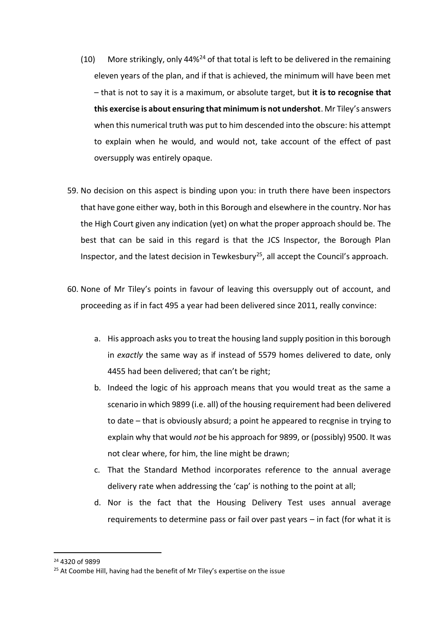- (10) More strikingly, only 44%<sup>24</sup> of that total is left to be delivered in the remaining eleven years of the plan, and if that is achieved, the minimum will have been met – that is not to say it is a maximum, or absolute target, but **it is to recognise that this exercise is about ensuring that minimum is not undershot**. Mr Tiley's answers when this numerical truth was put to him descended into the obscure: his attempt to explain when he would, and would not, take account of the effect of past oversupply was entirely opaque.
- 59. No decision on this aspect is binding upon you: in truth there have been inspectors that have gone either way, both in this Borough and elsewhere in the country. Nor has the High Court given any indication (yet) on what the proper approach should be. The best that can be said in this regard is that the JCS Inspector, the Borough Plan Inspector, and the latest decision in Tewkesbury<sup>25</sup>, all accept the Council's approach.
- 60. None of Mr Tiley's points in favour of leaving this oversupply out of account, and proceeding as if in fact 495 a year had been delivered since 2011, really convince:
	- a. His approach asks you to treat the housing land supply position in this borough in *exactly* the same way as if instead of 5579 homes delivered to date, only 4455 had been delivered; that can't be right;
	- b. Indeed the logic of his approach means that you would treat as the same a scenario in which 9899 (i.e. all) of the housing requirement had been delivered to date – that is obviously absurd; a point he appeared to recgnise in trying to explain why that would *not* be his approach for 9899, or (possibly) 9500. It was not clear where, for him, the line might be drawn;
	- c. That the Standard Method incorporates reference to the annual average delivery rate when addressing the 'cap' is nothing to the point at all;
	- d. Nor is the fact that the Housing Delivery Test uses annual average requirements to determine pass or fail over past years – in fact (for what it is

<sup>24</sup> 4320 of 9899

<sup>&</sup>lt;sup>25</sup> At Coombe Hill, having had the benefit of Mr Tiley's expertise on the issue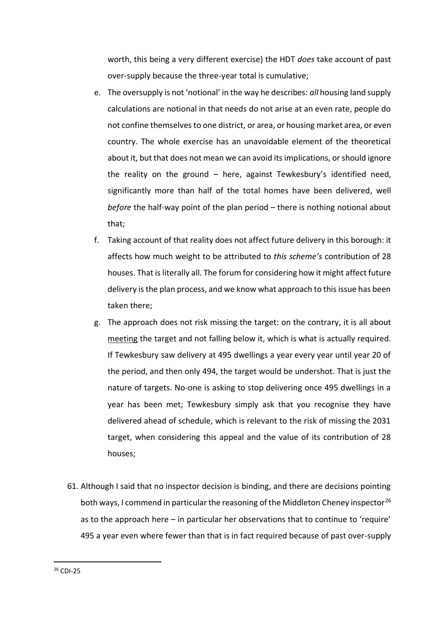worth, this being a very different exercise) the HDT *does* take account of past over-supply because the three-year total is cumulative;

- e. The oversupply is not 'notional' in the way he describes: *all* housing land supply calculations are notional in that needs do not arise at an even rate, people do not confine themselves to one district, or area, or housing market area, or even country. The whole exercise has an unavoidable element of the theoretical about it, but that does not mean we can avoid its implications, or should ignore the reality on the ground – here, against Tewkesbury's identified need, significantly more than half of the total homes have been delivered, well *before* the half-way point of the plan period – there is nothing notional about that;
- f. Taking account of that reality does not affect future delivery in this borough: it affects how much weight to be attributed to *this scheme's* contribution of 28 houses. That is literally all. The forum for considering how it might affect future delivery is the plan process, and we know what approach to this issue has been taken there;
- g. The approach does not risk missing the target: on the contrary, it is all about meeting the target and not falling below it, which is what is actually required. If Tewkesbury saw delivery at 495 dwellings a year every year until year 20 of the period, and then only 494, the target would be undershot. That is just the nature of targets. No-one is asking to stop delivering once 495 dwellings in a year has been met; Tewkesbury simply ask that you recognise they have delivered ahead of schedule, which is relevant to the risk of missing the 2031 target, when considering this appeal and the value of its contribution of 28 houses;
- 61. Although I said that no inspector decision is binding, and there are decisions pointing both ways, I commend in particular the reasoning of the Middleton Cheney inspector<sup>26</sup> as to the approach here – in particular her observations that to continue to 'require' 495 a year even where fewer than that is in fact required because of past over-supply

<sup>26</sup> CDI-25